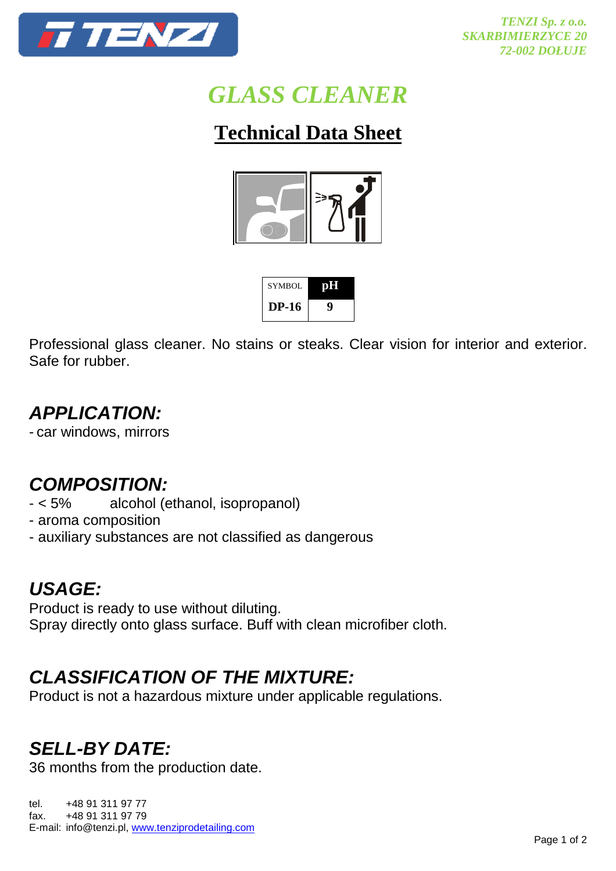

# *GLASS CLEANER*

## **Technical Data Sheet**



| SYMBOL  | <b>Tuff</b> |
|---------|-------------|
| $DP-16$ |             |

Professional glass cleaner. No stains or steaks. Clear vision for interior and exterior. Safe for rubber.

## **APPLICATION:**

- car windows, mirrors

#### **COMPOSITION:**

- < 5% alcohol (ethanol, isopropanol)
- aroma composition
- auxiliary substances are not classified as dangerous

#### **USAGE:**

Product is ready to use without diluting. Spray directly onto glass surface. Buff with clean microfiber cloth.

## **CLASSIFICATION OF THE MIXTURE:**

Product is not a hazardous mixture under applicable regulations.

### **SELL-BY DATE:**

36 months from the production date.

tel. +48 91 311 97 77 fax. +48 91 311 97 79 E-mail: info@tenzi.pl, www.tenziprodetailing.com